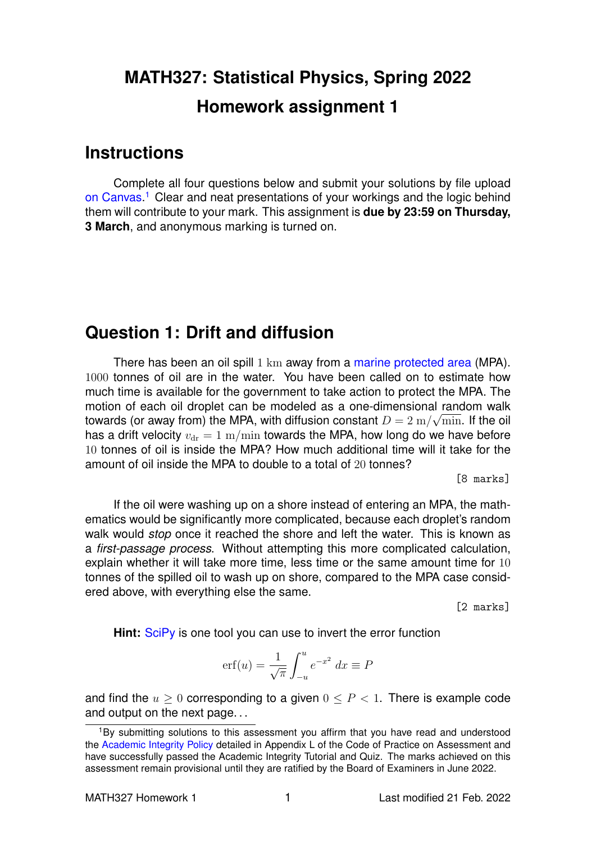# **MATH327: Statistical Physics, Spring 2022 Homework assignment 1**

#### **Instructions**

Complete all four questions below and submit your solutions by file upload [on Canvas.](https://liverpool.instructure.com/courses/47333/assignments/178542)<sup>[1](#page-0-0)</sup> Clear and neat presentations of your workings and the logic behind them will contribute to your mark. This assignment is **due by 23:59 on Thursday, 3 March**, and anonymous marking is turned on.

## **Question 1: Drift and diffusion**

There has been an oil spill 1 km away from a [marine protected area](https://en.wikipedia.org/wiki/Marine_protected_area) (MPA). 1000 tonnes of oil are in the water. You have been called on to estimate how much time is available for the government to take action to protect the MPA. The motion of each oil droplet can be modeled as a one-dimensional random walk towards (or away from) the MPA, with diffusion constant  $D=2\ \mathrm{m}/\sqrt{\mathrm{min}}.$  If the oil has a drift velocity  $v_{\rm dr} = 1 \text{ m/min}$  towards the MPA, how long do we have before 10 tonnes of oil is inside the MPA? How much additional time will it take for the amount of oil inside the MPA to double to a total of 20 tonnes?

[8 marks]

If the oil were washing up on a shore instead of entering an MPA, the mathematics would be significantly more complicated, because each droplet's random walk would *stop* once it reached the shore and left the water. This is known as a *first-passage process*. Without attempting this more complicated calculation, explain whether it will take more time, less time or the same amount time for 10 tonnes of the spilled oil to wash up on shore, compared to the MPA case considered above, with everything else the same.

[2 marks]

**Hint:** [SciPy](https://scipy.org) is one tool you can use to invert the error function

$$
\operatorname{erf}(u) = \frac{1}{\sqrt{\pi}} \int_{-u}^{u} e^{-x^2} dx \equiv P
$$

and find the  $u \geq 0$  corresponding to a given  $0 \leq P < 1$ . There is example code and output on the next page. . .

<span id="page-0-0"></span><sup>&</sup>lt;sup>1</sup>By submitting solutions to this assessment you affirm that you have read and understood the [Academic Integrity Policy](https://www.liverpool.ac.uk/media/livacuk/tqsd/code-of-practice-on-assessment/appendix_L_cop_assess.pdf) detailed in Appendix L of the Code of Practice on Assessment and have successfully passed the Academic Integrity Tutorial and Quiz. The marks achieved on this assessment remain provisional until they are ratified by the Board of Examiners in June 2022.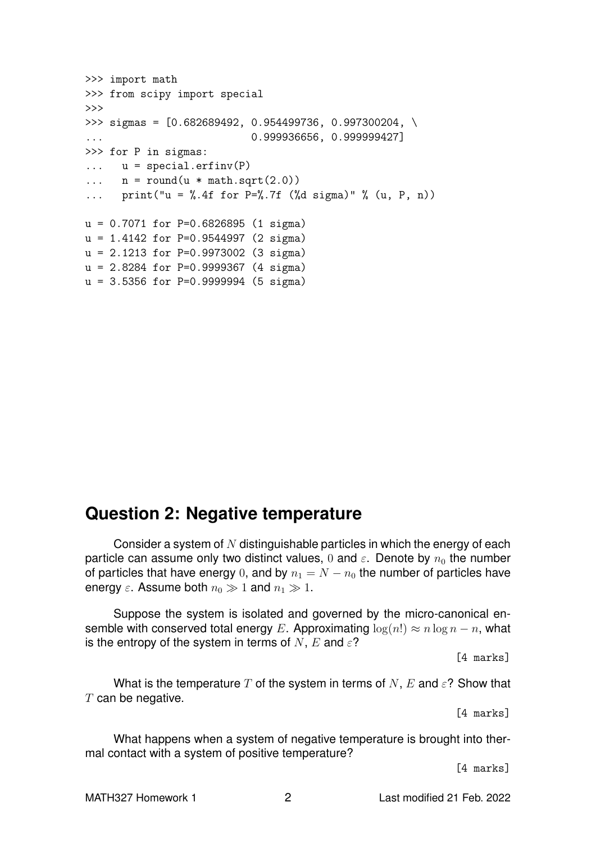```
>>> import math
>>> from scipy import special
>>>
>>> sigmas = [0.682689492, 0.954499736, 0.997300204, \
... 0.999936656, 0.999999427]
>>> for P in sigmas:
\ldots u = special.erfinv(P)
\ldots n = round(u * math.sqrt(2.0))
... print("u = %.4f for P = %.7f ($d$ sigma)" % (u, P, n))u = 0.7071 for P=0.6826895 (1 sigma)
u = 1.4142 for P=0.9544997 (2 sigma)
u = 2.1213 for P=0.9973002 (3 sigma)
u = 2.8284 for P=0.9999367 (4 sigma)
u = 3.5356 for P=0.9999994 (5 sigma)
```
### **Question 2: Negative temperature**

Consider a system of  $N$  distinguishable particles in which the energy of each particle can assume only two distinct values, 0 and  $\varepsilon$ . Denote by  $n_0$  the number of particles that have energy 0, and by  $n_1 = N - n_0$  the number of particles have energy  $\varepsilon$ . Assume both  $n_0 \gg 1$  and  $n_1 \gg 1$ .

Suppose the system is isolated and governed by the micro-canonical ensemble with conserved total energy E. Approximating  $\log(n!) \approx n \log n - n$ , what is the entropy of the system in terms of N, E and  $\varepsilon$ ?

[4 marks]

What is the temperature T of the system in terms of N, E and  $\varepsilon$ ? Show that  $T$  can be negative.

[4 marks]

What happens when a system of negative temperature is brought into thermal contact with a system of positive temperature?

[4 marks]

MATH327 Homework 1 2 2 Last modified 21 Feb. 2022